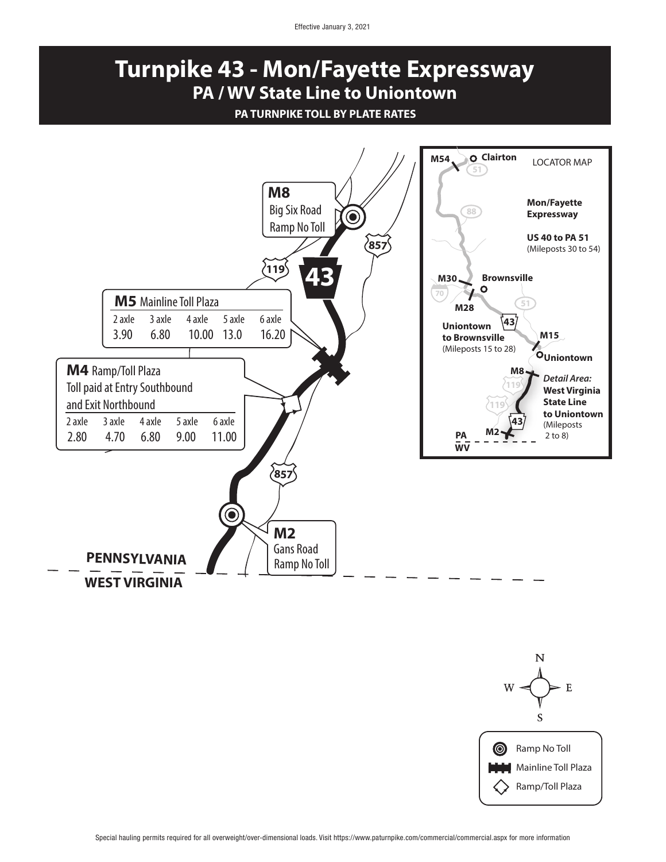Effective January 3, 2021

## **Turnpike 43 - Mon/Fayette Expressway PA / WV State Line to Uniontown**

## **PA TURNPIKE TOLL BY PLATE RATES**



 $\mathbf F$ S Ramp No Toll  $\circledcirc$ **Mainline Toll Plaza** Ramp/Toll Plaza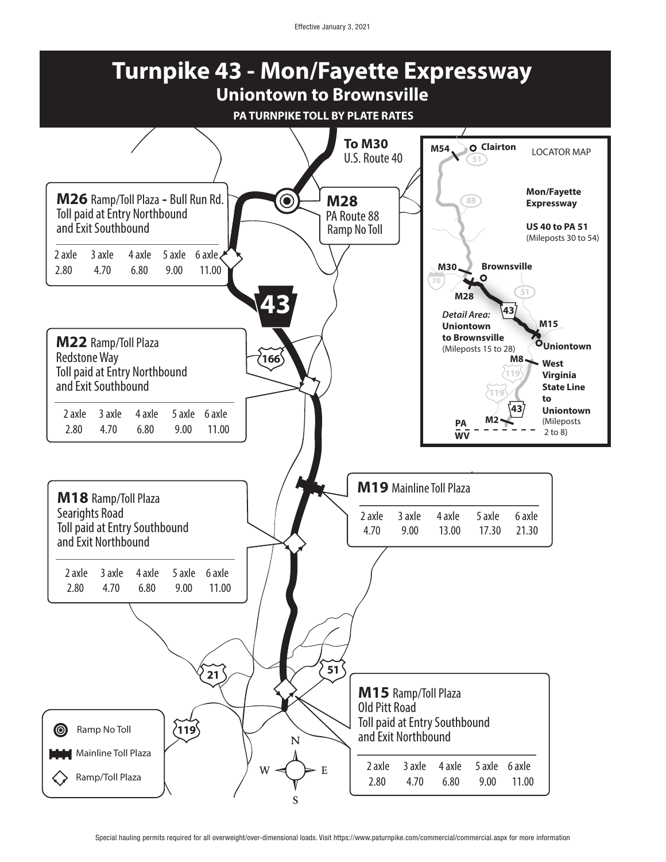Effective January 3, 2021